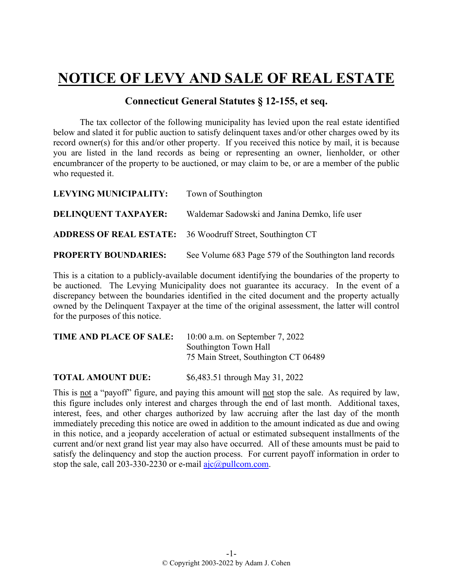## **NOTICE OF LEVY AND SALE OF REAL ESTATE**

## **Connecticut General Statutes § 12-155, et seq.**

The tax collector of the following municipality has levied upon the real estate identified below and slated it for public auction to satisfy delinquent taxes and/or other charges owed by its record owner(s) for this and/or other property. If you received this notice by mail, it is because you are listed in the land records as being or representing an owner, lienholder, or other encumbrancer of the property to be auctioned, or may claim to be, or are a member of the public who requested it.

| LEVYING MUNICIPALITY:       | Town of Southington                                               |
|-----------------------------|-------------------------------------------------------------------|
| <b>DELINQUENT TAXPAYER:</b> | Waldemar Sadowski and Janina Demko, life user                     |
|                             | <b>ADDRESS OF REAL ESTATE:</b> 36 Woodruff Street, Southington CT |
| <b>PROPERTY BOUNDARIES:</b> | See Volume 683 Page 579 of the Southington land records           |

This is a citation to a publicly-available document identifying the boundaries of the property to be auctioned. The Levying Municipality does not guarantee its accuracy. In the event of a discrepancy between the boundaries identified in the cited document and the property actually owned by the Delinquent Taxpayer at the time of the original assessment, the latter will control for the purposes of this notice.

| <b>TIME AND PLACE OF SALE:</b> | $10:00$ a.m. on September 7, 2022    |
|--------------------------------|--------------------------------------|
|                                | Southington Town Hall                |
|                                | 75 Main Street, Southington CT 06489 |
|                                |                                      |

**TOTAL AMOUNT DUE:** \$6,483.51 through May 31, 2022

This is not a "payoff" figure, and paying this amount will not stop the sale. As required by law, this figure includes only interest and charges through the end of last month. Additional taxes, interest, fees, and other charges authorized by law accruing after the last day of the month immediately preceding this notice are owed in addition to the amount indicated as due and owing in this notice, and a jeopardy acceleration of actual or estimated subsequent installments of the current and/or next grand list year may also have occurred. All of these amounts must be paid to satisfy the delinquency and stop the auction process. For current payoff information in order to stop the sale, call 203-330-2230 or e-mail  $a$ jc $@p$ ullcom.com.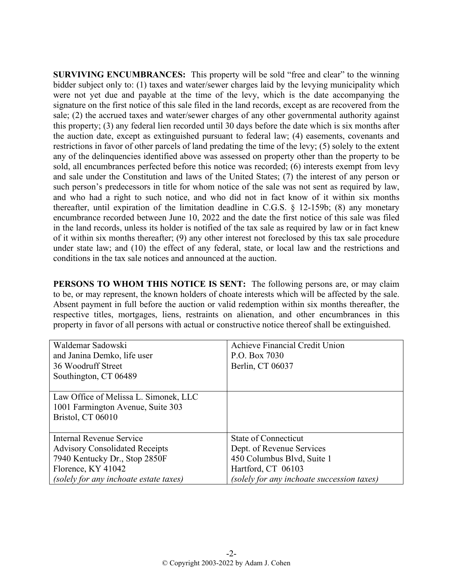**SURVIVING ENCUMBRANCES:** This property will be sold "free and clear" to the winning bidder subject only to: (1) taxes and water/sewer charges laid by the levying municipality which were not yet due and payable at the time of the levy, which is the date accompanying the signature on the first notice of this sale filed in the land records, except as are recovered from the sale; (2) the accrued taxes and water/sewer charges of any other governmental authority against this property; (3) any federal lien recorded until 30 days before the date which is six months after the auction date, except as extinguished pursuant to federal law; (4) easements, covenants and restrictions in favor of other parcels of land predating the time of the levy; (5) solely to the extent any of the delinquencies identified above was assessed on property other than the property to be sold, all encumbrances perfected before this notice was recorded; (6) interests exempt from levy and sale under the Constitution and laws of the United States; (7) the interest of any person or such person's predecessors in title for whom notice of the sale was not sent as required by law, and who had a right to such notice, and who did not in fact know of it within six months thereafter, until expiration of the limitation deadline in C.G.S. § 12-159b; (8) any monetary encumbrance recorded between June 10, 2022 and the date the first notice of this sale was filed in the land records, unless its holder is notified of the tax sale as required by law or in fact knew of it within six months thereafter; (9) any other interest not foreclosed by this tax sale procedure under state law; and (10) the effect of any federal, state, or local law and the restrictions and conditions in the tax sale notices and announced at the auction.

**PERSONS TO WHOM THIS NOTICE IS SENT:** The following persons are, or may claim to be, or may represent, the known holders of choate interests which will be affected by the sale. Absent payment in full before the auction or valid redemption within six months thereafter, the respective titles, mortgages, liens, restraints on alienation, and other encumbrances in this property in favor of all persons with actual or constructive notice thereof shall be extinguished.

| Waldemar Sadowski                      | Achieve Financial Credit Union             |
|----------------------------------------|--------------------------------------------|
| and Janina Demko, life user            | P.O. Box 7030                              |
| 36 Woodruff Street                     | Berlin, CT 06037                           |
| Southington, CT 06489                  |                                            |
|                                        |                                            |
| Law Office of Melissa L. Simonek, LLC  |                                            |
| 1001 Farmington Avenue, Suite 303      |                                            |
| Bristol, CT 06010                      |                                            |
|                                        |                                            |
| <b>Internal Revenue Service</b>        | <b>State of Connecticut</b>                |
| <b>Advisory Consolidated Receipts</b>  | Dept. of Revenue Services                  |
| 7940 Kentucky Dr., Stop 2850F          | 450 Columbus Blvd, Suite 1                 |
| Florence, KY 41042                     | Hartford, CT 06103                         |
| (solely for any inchoate estate taxes) | (solely for any inchoate succession taxes) |